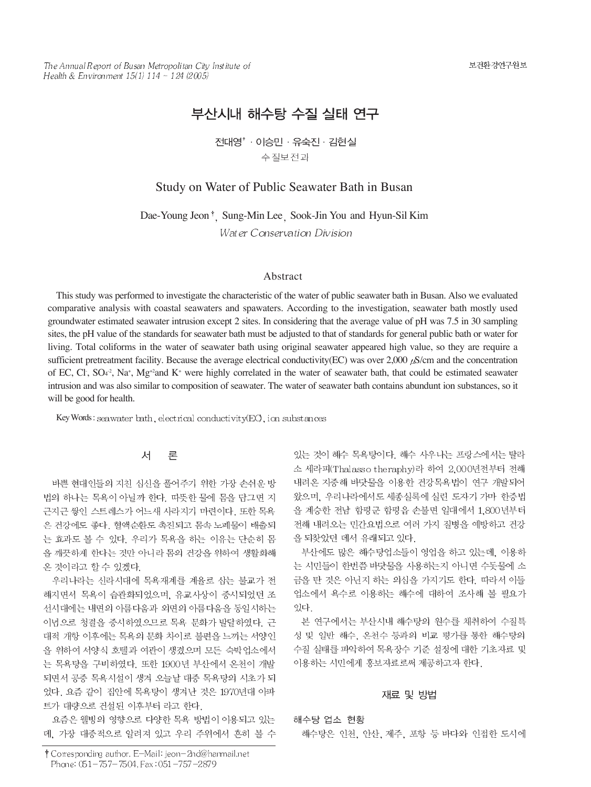The Annual Report of Busan Metropolitan City Institute of Health & Environment  $15(1)$   $114 \sim 124$  (2005)

# 부산시내 해수탕 수질 실태 연구

전대영' · 이승민 · 유숙진 · 김현실 수질보전과

# Study on Water of Public Seawater Bath in Busan

Dae-Young Jeon<sup>†</sup>, Sung-Min Lee, Sook-Jin You and Hyun-Sil Kim Water Conservation Division

### Abstract

This study was performed to investigate the characteristic of the water of public seawater bath in Busan. Also we evaluated comparative analysis with coastal seawaters and spawaters. According to the investigation, seawater bath mostly used groundwater estimated seawater intrusion except 2 sites. In considering that the average value of pH was 7.5 in 30 sampling sites, the pH value of the standards for seawater bath must be adjusted to that of standards for general public bath or water for living. Total coliforms in the water of seawater bath using original seawater appeared high value, so they are require a sufficient pretreatment facility. Because the average electrical conductivity(EC) was over  $2,000 \mu\text{s/cm}$  and the concentration of EC, Cl<sub>1</sub>, SO<sub>4</sub><sup>2</sup>, Na<sup>+</sup>, Mg<sup>+2</sup>and K<sup>+</sup> were highly correlated in the water of seawater bath, that could be estimated seawater intrusion and was also similar to composition of seawater. The water of seawater bath contains abundunt ion substances, so it will be good for health.

Key Words: seawater bath, electrical conductivity(EC), ion substances

#### 서 론

바쁜 현대인들의 지친 심신을 풀어주기 위한 가장 손쉬운 방 법의 하나는 목욕이 아닐까 한다. 따뜻한 물에 몸을 담그면 지 근지근 쌓인 스트레스가 어느새 사라지기 마련이다. 또한 목욕 은 건강에도 좋다. 혈액순환도 촉진되고 몸속 노폐물이 배출되 는 효과도 볼 수 있다. 우리가 목욕을 하는 이유는 단순히 몸 을 깨끗하게 한다는 것만 아니라 몸의 건강을 위하여 생활화해 온 것이라고 할 수 있겠다.

우리나라는 신라시대에 목욕재계를 계율로 삼는 불교가 전 해지면서 목욕이 습관화되었으며, 유교사상이 중시되었던 조 선시대에는 내면의 아름다움과 외면의 아름다움을 동일시하는 이념으로 청결을 중시하였으므로 목욕 문화가 발달하였다. 근 대적 개항 이후에는 목욕의 문화 차이로 불편을 느끼는 서양인 을 위하여 서양식 호텔과 여관이 생겼으며 모든 숙박업소에서 는 목욕탕을 구비하였다. 또한 1900년 부산에서 온천이 개발 되면서 공중 목욕시설이 생겨 오늘날 대중 목욕탕의 시초가 되 었다. 요즘 같이 집안에 목욕탕이 생겨난 것은 1970년대 아파 트가 대량으로 건설된 이후부터 라고 한다.

요즘은 웰빙의 영향으로 다양한 목욕 방법이 이용되고 있는 데, 가장 대중적으로 알려져 있고 우리 주위에서 흔히 볼 수 있는 것이 해수 목욕탕이다. 해수 사우나는 프랑스에서는 탈라 소 세라피(Thalasso theraphy)라 하여 2,000년전부터 전해 내려온 지중해 바닷물을 이용한 건강목욕법이 연구 개발되어 왔으며, 우리나라에서도 세종실록에 실린 도자기 가마 한증법 을 계승한 전남 함평군 함평읍 손불면 일대에서 1,800년부터 전해 내려오는 민간요법으로 여러 가지 질병을 예방하고 건강 을 되찾았던 데서 유래되고 있다.

부산에도 많은 해수탕업소들이 영업을 하고 있는데, 이용하 는 시민들이 한번쯤 바닷물을 사용하는지 아니면 수돗물에 소 금을 탄 것은 아닌지 하는 의심을 가지기도 한다. 따라서 이들 업소에서 욕수로 이용하는 해수에 대하여 조사해 볼 필요가 있다.

본 연구에서는 부산시내 해수탕의 원수를 채취하여 수질특 성 및 일반 해수, 온천수 등과의 비교 평가를 통한 해수탕의 수질 실태를 파악하여 목욕장수 기준 설정에 대한 기초자료 및 이용하는 시민에게 홍보자료로써 제공하고자 한다.

#### 재료 및 방법

해수탕 업소 현황

해수탕은 인천, 안산, 제주, 포항 등 바다와 인접한 도시에

<sup>†</sup> Corresponding author. E-Mail: jeon-2nd@hanmail.net Phone: 051-757-7504, Fax: 051-757-2879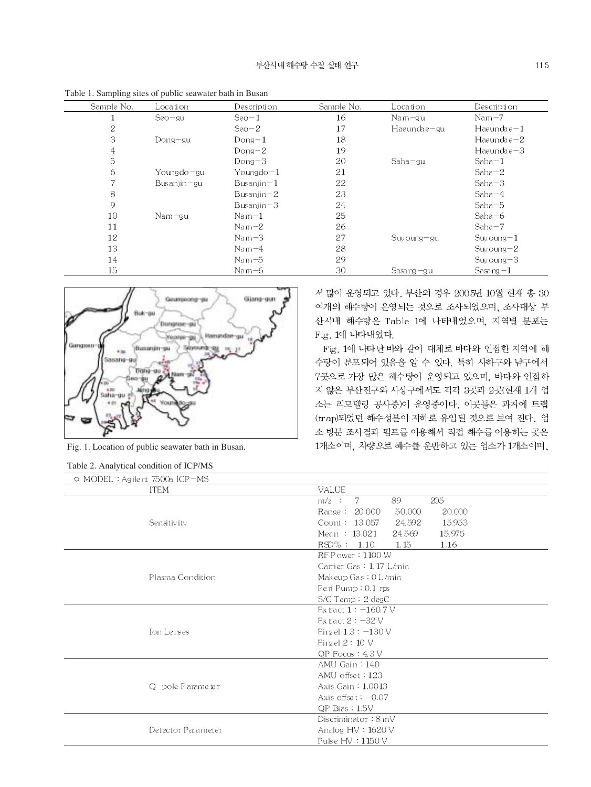|            | ruore 11 bumphing breed or public beamater outh in Buddh |               |            |               |                   |
|------------|----------------------------------------------------------|---------------|------------|---------------|-------------------|
| Sample No. | Location                                                 | Description   | Sample No. | Location      | Description       |
|            | $Seo-gu$                                                 | $Seo-1$       | 16         | $N$ am $-gu$  | $Nam-7$           |
| 2          |                                                          | $Seo-2$       | 17         | Haeundae-gu   | $Haeundae-1$      |
| 3          | Dong-gu                                                  | $Dong-1$      | 18         |               | $Haeundae-2$      |
| 4          |                                                          | $Dong-2$      | 19         |               | $H$ aeunda e $-3$ |
| 5          |                                                          | $Dong - 3$    | 20         | $Saha = gu$   | $Saha-1$          |
| 6          | Youngdo-gu                                               | Youngdo $-1$  | 21         |               | $Saha-2$          |
|            | $B$ usanjin $-gu$                                        | Busanjin $-1$ | 22         |               | $Saha-3$          |
| 8          |                                                          | Busanjin $-2$ | 23         |               | $Saha-4$          |
| 9          |                                                          | Busanjin $-3$ | 24         |               | $Saha-5$          |
| 10         | $Nam = qu$                                               | $Nam-1$       | 25         |               | $Saha-6$          |
| 11         |                                                          | $Nam-2$       | 26         |               | $Saha-7$          |
| 12         |                                                          | $Nam-3$       | 27         | Suvoung-gu    | $S$ uvoung $-1$   |
| 13         |                                                          | $Nam-4$       | 28         |               | $S$ uvoung $-2$   |
| 14         |                                                          | $Nam-5$       | 29         |               | $S$ uy oung $-3$  |
| 15         |                                                          | Nam $-6$      | 30         | Sasa ng $-gu$ | Sasa ng $-1$      |

Table 1. Sampling sites of public seawater bath in Busan



Fig. 1. Location of public seawater bath in Busan.

|  |  | Table 2. Analytical condition of ICP/MS |  |  |  |
|--|--|-----------------------------------------|--|--|--|
|--|--|-----------------------------------------|--|--|--|

서 많이 운영되고 있다. 부산의 경우 2005년 10월 현재 총 30 여개의 해수탕이 운영되는 것으로 조사되었으며, 조사대상 부 산시내 해수탕은 Table 1에 나타내었으며, 지역별 분포는 Fig. 1에 나타내었다.

Fig. 1에 나타난 바와 같이 대체로 바다와 인접한 지역에 해 수탕이 분포되어 있음을 알 수 있다. 특히 사하구와 남구에서 7곳으로 가장 많은 해수탕이 운영되고 있으며, 바다와 인접하 지 않은 부산진구와 사상구에서도 각각 3곳과 2곳(현재 1개 업 소는 리모델링 공사중)이 운영중이다. 이곳들은 과거에 트랩 (trap)되었던 해수성분이 지하로 유입된 것으로 보여 진다. 업 소 방문 조사결과 펌프를 이용해서 직접 해수를 이용하는 곳은 1개소이며, 차량으로 해수를 운반하고 있는 업소가 1개소이며,

| O MODEL:Agilent 7500a ICP=MS |                                     |
|------------------------------|-------------------------------------|
| <b>ITEM</b>                  | <b>VALUE</b>                        |
|                              | 205<br>7<br>89<br>$m/z$ :           |
|                              | 50,000<br>20,000<br>Range: 20,000   |
| Sensitivity                  | Count: $13,057$<br>15,953<br>24,592 |
|                              | Mean $: 13,021$<br>24.569<br>15,975 |
|                              | $RSD\% : 1.10$<br>1.15<br>1.16      |
|                              | $RF$ P ower $:1100$ W               |
|                              | Carrier Gas: 1.17 L/min             |
| Plasma Condition             | Makeup $Gas: 0 L/min$               |
|                              | Peri Pump: $0.1$ rps                |
|                              | $S/C$ Temp: $2 \text{ deg} C$       |
|                              | Extract $1: -160.7$ V               |
|                              | Extract $2: -32V$                   |
| Ion Lenses                   | Einzel $1,3:-130$ V                 |
|                              | Einzel $2:10$ V                     |
|                              | $QP$ Focus: $4.3V$                  |
|                              | $AMU$ Gain: $140$                   |
|                              | AMU offset: 123                     |
| O-pole Parameter             | Axis Gain: 1.0013                   |
|                              | Axis offset: $-0.07$                |
|                              | $OP$ Bias : $1.5V$                  |
|                              | Discriminator: 8 mV                 |
| Detector Parameter           | Analog HV: 1620 V                   |
|                              | Pulse HV : 1150 V                   |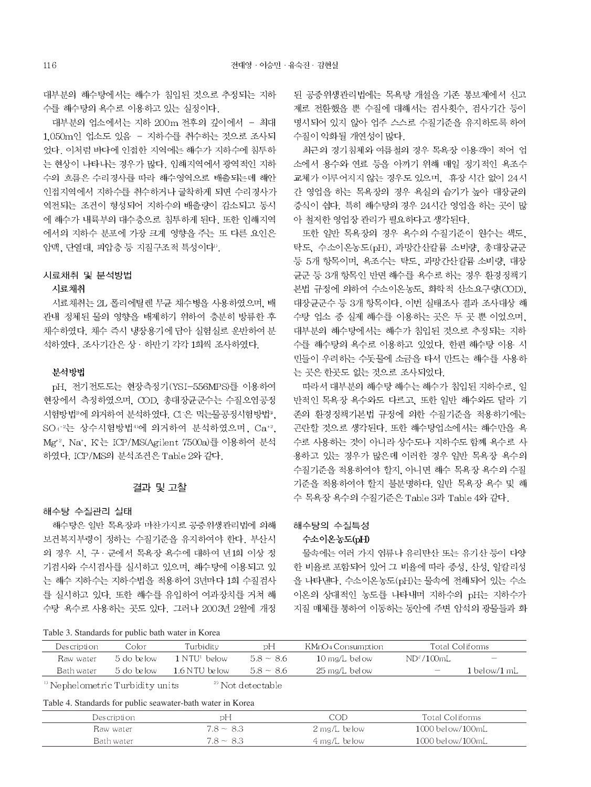대부분의 해수탕에서는 해수가 침입된 것으로 추정되는 지하 수를 해수탕의 욕수로 이용하고 있는 실정이다.

대부분의 업소에서는 지하 200m 전후의 깊이에서 - 최대 1.050m인 업소도 있음 - 지하수를 취수하는 것으로 조사되 었다. 이처럼 바다에 인접한 지역에는 해수가 지하수에 침투하 는 현상이 나타나는 경우가 많다. 임해지역에서 광역적인 지하 수의 흐름은 수리경사를 따라 해수영역으로 배출되는데 해안 인접지역에서 지하수를 취수하거나 굴착하게 되면 수리경사가 역전되는 조건이 형성되어 지하수의 배출량이 감소되고 동시 에 해수가 내륙부의 대수층으로 침투하게 된다. 또한 임해지역 에서의 지하수 분포에 가장 크게 영향을 주는 또 다른 요인은 암맥, 단열대, 피압층 등 지질구조적 특성이다".

#### 시료채취 및 분석방법

# 시료채취

시료채취는 2L 폴리에틸렌 무균 채수병을 사용하였으며, 배 관내 정체된 물의 영향을 배제하기 위하여 충분히 방류한 후 채수하였다. 채수 즉시 냉장용기에 담아 실험실로 운반하여 분 석하였다. 조사기간은 상 · 하반기 각각 1회씩 조사하였다.

### 뷰석방법

pH. 전기전도도는 현장측정기(YSI-556MPS)를 이용하여 현장에서 측정하였으며, COD, 총대장균군수는 수질오염공정 시험방법<sup>2</sup>에 의거하여 분석하였다. CI 은 먹는물공정시험방법<sup>3</sup>. SO4-2는 상수시험방법<sup>40</sup>에 의거하여 분석하였으며, Ca+2, Mg<sup>+2</sup>, Na<sup>+</sup>, K<sup>+</sup>는 ICP/MS(Agilent 7500a)를 이용하여 분석 하였다. ICP/MS의 분석조건은 Table 2와 같다.

# 결과 및 고찰

#### 해수탕 수질관리 실태

해수탕은 일반 목욕장과 마찬가지로 공중위생관리법에 의해 보건복지부령이 정하는 수질기준을 유지하여야 한다. 부산시 의 경우 시, 구 · 군에서 목욕장 욕수에 대하여 년1회 이상 정 기검사와 수시검사를 실시하고 있으며, 해수탕에 이용되고 있 는 해수 지하수는 지하수법을 적용하여 3년마다 1회 수질검사 를 실시하고 있다. 또한 해수를 유입하여 여과장치를 거쳐 해 수탕 욕수로 사용하는 곳도 있다. 그러나 2003년 2월에 개정

Table 3. Standards for public bath water in Korea

된 공중위생관리법에는 목욕탕 개설을 기존 통보제에서 신고 제로 전환했을 뿐 수질에 대해서는 검사횟수. 검사기간 등이 명시되어 있지 않아 업주 스스로 수질기준을 유지하도록 하여 수질이 악화될 개연성이 많다.

최근의 경기침체와 여름철의 경우 목욕장 이용객이 적어 업 소에서 용수와 연료 등을 아끼기 위해 매일 정기적인 욕조수 교체가 이루어지지 않는 경우도 있으며, 휴장 시간 없이 24시 간 영업을 하는 목욕장의 경우 욕실의 습기가 높아 대장균의 증식이 쉽다. 특히 해수탕의 경우 24시간 영업을 하는 곳이 많 아 철저한 영업장 관리가 필요하다고 생각된다.

또한 일반 목욕장의 경우 욕수의 수질기준이 원수는 색도. 탁도, 수소이온농도(pH), 과망간산칼륨 소비량, 총대장균군 등 5개 항목이며, 욕조수는 탁도, 과망간산칼륨 소비량, 대장 균군 등 3개 항목인 반면 해수를 욕수로 하는 경우 환경정책기 본법 규정에 의하여 수소이온농도, 화학적 산소요구량(COD), 대장균군수 등 3개 항목이다. 이번 실태조사 결과 조사대상 해 수탕 업소 중 실제 해수를 이용하는 곳은 두 곳 뿐 이었으며, 대부분의 해수탕에서는 해수가 침입된 것으로 추정되는 지하 수를 해수탕의 욕수로 이용하고 있었다. 한편 해수탕 이용 시 민들이 우려하는 수돗물에 소금을 타서 만드는 해수를 사용하 는 곳은 한곳도 없는 것으로 조사되었다.

따라서 대부분의 해수탕 해수는 해수가 침입된 지하수로, 일 반적인 목욕장 욕수와도 다르고, 또한 일반 해수와도 달라 기 존의 환경정책기본법 규정에 의한 수질기준을 적용하기에는 곤란할 것으로 생각된다. 또한 해수탕업소에서는 해수만을 욕 수로 사용하는 것이 아니라 상수도나 지하수도 함께 욕수로 사 용하고 있는 경우가 많은데 이러한 경우 일반 목욕장 욕수의 수질기준을 적용하여야 할지, 아니면 해수 목욕장 욕수의 수질 기준을 적용하여야 할지 불분명하다. 일반 목욕장 욕수 및 해 수 목욕장 욕수의 수질기준은 Table 3과 Table 4와 같다.

# 해수탕의 수질특성

# 수소이온농도(pH)

물속에는 여러 가지 염류나 유리탄산 또는 유기산 등이 다양 한 비율로 포함되어 있어 그 비율에 따라 중성, 산성, 알칼리성 을 나타낸다. 수소이온농도(pH)는 물속에 전해되어 있는 수소 이온의 상대적인 농도를 나타내며 지하수의 pH는 지하수가 지질 매체를 통하여 이동하는 동안에 주변 암석의 광물들과 화

| Description | Color                                                                      | Turbiditv         | рH          | KMnO4 Consumption |                          | Total Coliforms          |  |  |  |  |  |  |
|-------------|----------------------------------------------------------------------------|-------------------|-------------|-------------------|--------------------------|--------------------------|--|--|--|--|--|--|
| Raw water   | .5 do below                                                                | 1 NTU! below      | $5.8 - 8.6$ | 10 mg/L below     | $ND^2/100mL$             | $\overline{\phantom{a}}$ |  |  |  |  |  |  |
| Bath water  | .5 do below                                                                | - 1.6 N TU-below- | $5.8 - 8.6$ | -25 mg/L-below    | $\overline{\phantom{a}}$ | 1 below/1 mL             |  |  |  |  |  |  |
|             | <sup>b</sup> Nephelometric Turbidity units<br><sup>2)</sup> Not detectable |                   |             |                   |                          |                          |  |  |  |  |  |  |

Table 4. Standards for public seawater-bath water in Korea

| Descripti on | рF             | COD                       | Total Coliforms        |
|--------------|----------------|---------------------------|------------------------|
| Raw water    | $7.8 - 8.3$    | 2 mg/L below              | $1000$ below/ $100$ mL |
| Bath water   | $7.8 \sim 8.3$ | $4 \,\mathrm{mg/L}$ below | $1000$ below/ $100$ mL |
|              |                |                           |                        |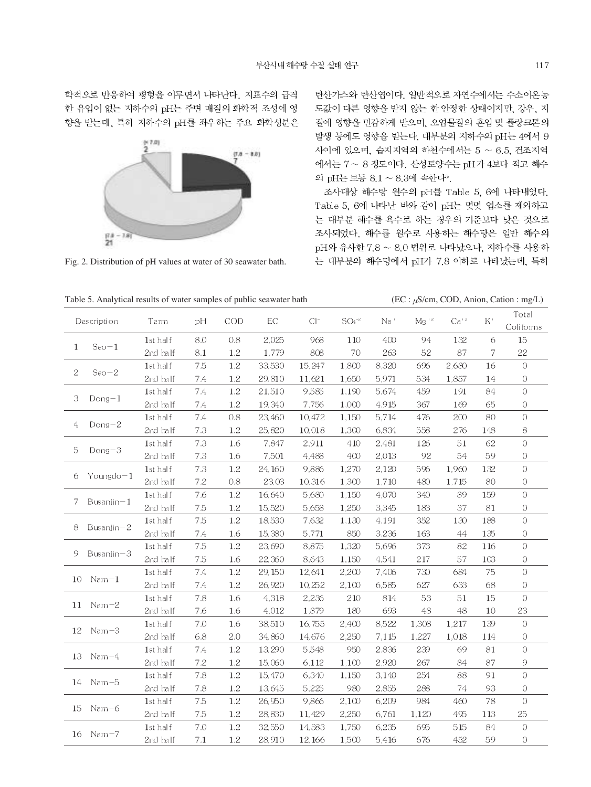학적으로 반응하여 평형을 이루면서 나타난다. 지표수의 급격 한 유입이 없는 지하수의 pH는 주변 매질의 화학적 조성에 영 향을 받는데, 특히 지하수의 pH를 좌우하는 주요 화학성분은



Fig. 2. Distribution of pH values at water of 30 seawater bath.

탄산가스와 탄산염이다. 일반적으로 자연수에서는 수소이온농 도값이 다른 영향을 받지 않는 한 안정한 상태이지만, 강우, 지 질에 영향을 민감하게 받으며, 오염물질의 혼입 및 플랑크톤의 발생 등에도 영향을 받는다. 대부분의 지하수의 pH는 4에서 9 사이에 있으며, 습지지역의 하천수에서는 5 ~ 6.5, 건조지역 에서는 7~8 정도이다. 산성토양수는 pH가 4보다 적고 해수 의 pH는 보통 8.1 ~ 8.3에 속한다<sup>9</sup>.

조사대상 해수탕 원수의 pH를 Table 5, 6에 나타내었다. Table 5, 6에 나타난 바와 같이 pH는 몇몇 업소를 제외하고 는 대부분 해수를 욕수로 하는 경우의 기준보다 낮은 것으로 조사되었다. 해수를 원수로 사용하는 해수탕은 일반 해수의 pH와 유사한 7.8 ~ 8.0 범위로 나타났으나, 지하수를 사용하 는 대부분의 해수탕에서 pH가 7.8 이하로 나타났는데, 특히

Table 5. Analytical results of water samples of public seawater bath (EC :  $\mu$ S/cm, COD, Anion, Cation : mg/L)

| Description |                   | <b>Term</b> | рH  | COD     | EC     | $Cl^-$  | $SO4^{-2}$ | $Mg^{-2}$<br>Na' |       | $Ca+2$ | $K^+$  | Total          |
|-------------|-------------------|-------------|-----|---------|--------|---------|------------|------------------|-------|--------|--------|----------------|
|             |                   |             |     |         |        |         |            |                  |       |        |        | Coliforms      |
|             | $Seo-1$           | 1st half    | 8.0 | 0.8     | 2,025  | 968     | 110        | 400              | 94    | 132    | 6      | 15             |
| 1           |                   | 2nd half    | 8.1 | 1.2     | 1,779  | 808     | 70         | 263              | 52    | 87     | 7      | 22             |
|             | $Seo-2$           | 1st half    | 7.5 | $1.2\,$ | 33,530 | 15,247  | 1,800      | 8,320            | 696   | 2,680  | 16     | $\bigcirc$     |
| 2           |                   | 2nd half    | 7.4 | 1.2     | 29.810 | 11,621  | 1,650      | 5,971            | 534   | 1,857  | 14     | $\circ$        |
|             |                   | 1st half    | 7.4 | 1.2     | 21,510 | 9,585   | 1,190      | 5,674            | 459   | 191    | 84     | $\overline{O}$ |
| 3           | $Dong-1$          | 2nd half    | 7.4 | $1.2\,$ | 19,340 | 7,756   | 1,000      | 4,915            | 367   | 169    | 65     | 0              |
|             | $Dong-2$          | 1st half    | 7.4 | 0.8     | 23,460 | 10,472  | 1,150      | 5,714            | 476   | 200    | 80     | $\overline{O}$ |
| 4           |                   | 2nd half    | 7.3 | 1.2     | 25,820 | 10,018  | 1,300      | 6,834            | 558   | 276    | 148    | 8              |
|             |                   | 1st half    | 7.3 | 1.6     | 7,847  | 2,911   | 410        | 2,481            | 126   | 51     | 62     | $\bigcirc$     |
| 5           | $Dong-3$          | 2nd half    | 7.3 | 1.6     | 7,501  | 4,488   | 400        | 2,013            | 92    | 54     | 59     | $\overline{O}$ |
|             | Youngdo $-1$      | 1st half    | 7.3 | $1.2\,$ | 24,160 | 9,886   | 1,270      | 2,120            | 596   | 1,960  | 132    | $\overline{O}$ |
| 6           |                   | 2nd half    | 7.2 | 0.8     | 23,03  | 10,316  | 1,300      | 1,710            | 480   | 1,715  | 80     | $\circ$        |
|             | Bus anjin $-1$    | 1st half    | 7.6 | $1.2\,$ | 16,640 | 5,680   | 1,150      | 4,070            | 340   | 89     | 159    | $\overline{O}$ |
| 7           |                   | 2nd half    | 7.5 | 1.2     | 15,520 | 5,658   | 1,250      | 3,345            | 183   | 37     | $81\,$ | $\circ$        |
| 8           |                   | 1st half    | 7.5 | 1.2     | 18,530 | 7,632   | 1,130      | 4,191            | 352   | 130    | 188    | $\overline{O}$ |
|             | Busanjin $-2$     | 2nd half    | 7.4 | 1.6     | 15,380 | 5,771   | 850        | 3,236            | 163   | 44     | 135    | $\circ$        |
|             | $B$ us anjin $-3$ | 1st half    | 7.5 | $1.2\,$ | 23,690 | 8,875   | 1,320      | 5,696            | 373   | 82     | 116    | $\overline{O}$ |
| 9           |                   | 2nd half    | 7.5 | 1.6     | 22,360 | 8,643   | 1,150      | 4,541            | 217   | 57     | 103    | $\cal O$       |
|             |                   | 1st half    | 7.4 | 1.2     | 29,150 | 12,641  | 2,200      | 7,406            | 730   | 684    | 75     | $\overline{O}$ |
| 10          | $Nam-1$           | 2nd half    | 7.4 | 1.2     | 26,920 | 10,252  | 2,100      | 6,585            | 627   | 633    | 68     | $\overline{O}$ |
|             |                   | 1st half    | 7.8 | 1.6     | 4,318  | 2,236   | 210        | 814              | 53    | 51     | 15     | $\overline{O}$ |
| 11          | $Nam-2$           | 2nd half    | 7.6 | 1.6     | 4,012  | 1,879   | 180        | 693              | 48    | 48     | 10     | 23             |
|             |                   | 1st half    | 7.0 | 1.6     | 38,510 | 16,755  | 2,400      | 8,522            | 1,308 | 1,217  | 139    | $\overline{O}$ |
| 12          | $Nam-3$           | 2nd half    | 6.8 | 2.0     | 34,860 | 14,676  | 2,250      | 7,115            | 1,227 | 1,018  | 114    | 0              |
|             |                   | 1st half    | 7.4 | 1.2     | 13,290 | 5,548   | 950        | 2,836            | 239   | 69     | 81     | $\overline{O}$ |
| 13          | $Nam-4$           | 2nd half    | 7.2 | $1.2\,$ | 15,060 | 6,112   | 1,100      | 2,920            | 267   | 84     | 87     | 9              |
|             |                   | 1st half    | 7.8 | 1.2     | 15,470 | 6,340   | 1,150      | 3,140            | 254   | 88     | 91     | $\overline{O}$ |
| 14          | $Nam-5$           | 2nd half    | 7.8 | 1.2     | 13,645 | 5,225   | 980        | 2,855            | 288   | 74     | 93     | $\overline{O}$ |
|             |                   | 1st half    | 7.5 | 1.2     | 26,950 | 9,866   | 2,100      | 6,209            | 984   | 460    | 78     | $\circ$        |
| 15          | $Nam-6$           | 2nd half    | 7.5 | 1.2     | 28,830 | 11,429  | 2,250      | 6,761            | 1,120 | 495    | 113    | 25             |
|             |                   | 1st half    | 7.0 | 1.2     | 32,550 | 14,583  | 1,750      | 6,235            | 695   | 515    | 84     | $\overline{O}$ |
| 16          | $Nam-7$           | 2nd half    | 7.1 | 1.2     | 28,910 | 12, 166 | 1,500      | 5,416            | 676   | 452    | 59     | $\circ$        |
|             |                   |             |     |         |        |         |            |                  |       |        |        |                |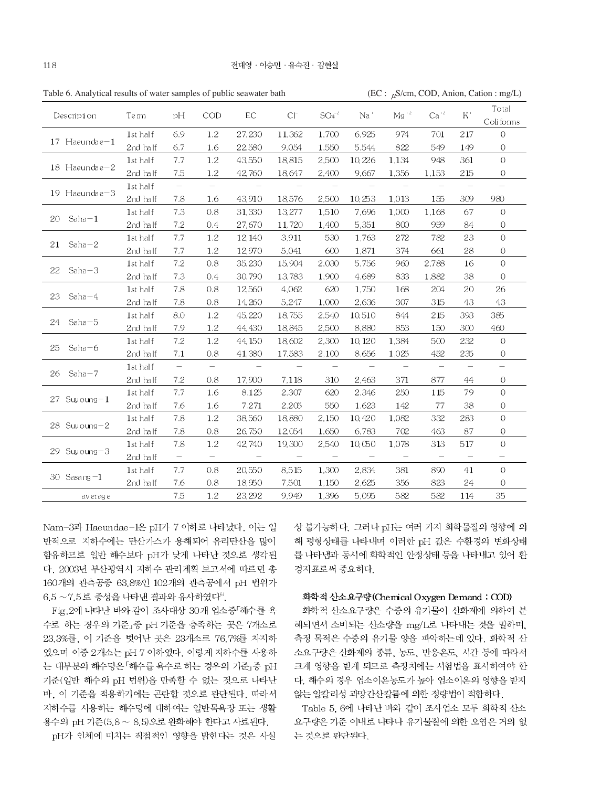| Description          | Te rm    | pH                       | COD                      | EC               | $Cl^{-}$ | $SO4-2$                         | Na '                            | ${ {\rm Mg}^{-12}}$      | $Ca+2$                   | K'                       | Total          |
|----------------------|----------|--------------------------|--------------------------|------------------|----------|---------------------------------|---------------------------------|--------------------------|--------------------------|--------------------------|----------------|
|                      |          |                          |                          |                  |          |                                 |                                 |                          |                          |                          | Coliforms      |
|                      | 1st half | 6.9                      | 1.2                      | 27,230           | 11,362   | 1,700                           | 6,925                           | 974                      | 701                      | 217                      | $\Omega$       |
| $17$ Haeundae $-1$   | 2nd half | 6.7                      | 1.6                      | 22,580           | 9.054    | 1,550                           | 5,544                           | 822                      | 549                      | 149                      | 0              |
|                      | 1st half | 7.7                      | 1.2                      | 43,550           | 18,815   | 2,500                           | 10,226                          | 1,134                    | 948                      | 361                      | $\overline{O}$ |
| 18 Haeundae-2        | 2nd half | 7.5                      | 1.2                      | 42,760           | 18,647   | 2,400                           | 9,667                           | 1,356                    | 1,153                    | 215                      | 0              |
|                      | 1st half | $\overline{\phantom{a}}$ | $\overline{\phantom{0}}$ |                  |          |                                 |                                 |                          |                          |                          |                |
| 19 Haeundae-3        | 2nd half | 7.8                      | 1.6                      | 43,910           | 18,576   | 2,500                           | 10,253                          | 1.013                    | 155                      | 309                      | 980            |
|                      | 1st half | 7.3                      | 0.8                      | 31,330           | 13,277   | 1,510                           | 7,696                           | 1,000                    | 1,168                    | 67                       | $\Omega$       |
| 20<br>$Saha-1$       | 2nd half | 7.2                      | 0.4                      | 27,670           | 11,720   | 1,400                           | 5,351                           | 800                      | 959                      | 84                       | 0              |
|                      | 1st half | 7.7                      | 1.2                      | 12,140           | 3,911    | 530                             | 1,763                           | 272                      | 782                      | 23                       | $\overline{O}$ |
| 21<br>$Saha-2$       | 2nd half | 7.7                      | 1.2                      | 12,970           | 5,041    | 600                             | 1,871                           | 374                      | 661                      | 28                       | 0              |
|                      | 1st half | 7.2                      | 0.8                      | 35,230           | 15,904   | 2,030                           | 5,756                           | 960                      | 2,788                    | 16                       | $\overline{O}$ |
| 22<br>$Saha-3$       | 2nd half | 7.3                      | 0.4                      | 30,790           | 13,783   | 1,900                           | 4.689                           | 833                      | 1,882                    | 38                       | O              |
|                      | 1st half | 7.8                      | 0.8                      | 12,560           | 4,062    | 620                             | 1,750                           | 168                      | 204                      | 20                       | 26             |
| 23<br>$Saha-4$       | 2nd half | 7.8                      | 0.8                      | 14,260           | 5,247    | 1,000                           | 2,636                           | 307                      | 315                      | 43                       | 43             |
|                      | 1st half | 8.0                      | 1.2                      | 45,220           | 18,755   | 2,540                           | 10,510                          | 844                      | 215                      | 393                      | 385            |
| 24<br>$Saha-5$       | 2nd half | 7.9                      | 1.2                      | 44,430           | 18,845   | 2,500                           | 8,880                           | 853                      | 150                      | 300                      | 460            |
|                      | 1st half | 7.2                      | 1.2                      | 44, 150          | 18,602   | 2,300                           | 10,120                          | 1,384                    | 500                      | 232                      | $\Omega$       |
| $Saha-6$<br>25       | 2nd half | 7.1                      | 0.8                      | 41,380           | 17,583   | 2,100                           | 8,656                           | 1,025                    | 452                      | 235                      | O              |
|                      | 1st half | $\overline{\phantom{m}}$ | $\overline{\phantom{0}}$ | $\hspace{0.1mm}$ |          | $\hspace{0.1mm}-\hspace{0.1mm}$ | $\hspace{0.1mm}-\hspace{0.1mm}$ | $\overline{\phantom{a}}$ | $\overline{\phantom{a}}$ | $\overline{\phantom{a}}$ |                |
| 26<br>Saha-7         | 2nd half | 7.2                      | 0.8                      | 17,900           | 7,118    | 310                             | 2,463                           | 371                      | 877                      | 44                       | 0              |
|                      | 1st half | 7.7                      | 1.6                      | 8,125            | 2,307    | 620                             | 2,346                           | 250                      | 115                      | 79                       | $\Omega$       |
| Suy oung $-1$<br>27. | 2nd half | 7.6                      | 1.6                      | 7,271            | 2,205    | 550                             | 1,623                           | 142                      | 77                       | 38                       | 0              |
|                      | 1st half | 7.8                      | 1.2                      | 38,560           | 18,880   | 2,150                           | 10,420                          | 1,082                    | 332                      | 283                      | $\overline{O}$ |
| $28$ Suvoung- $2$    | 2nd half | 7.8                      | 0.8                      | 26,750           | 12,054   | 1,650                           | 6,783                           | 702                      | 463                      | 87                       | 0              |
|                      | 1st half | 7.8                      | 1.2                      | 42,740           | 19,300   | 2,540                           | 10,050                          | 1,078                    | 313                      | 517                      | $\Omega$       |
| $29$ Suyoung $-3$    | 2nd half | $\overline{\phantom{m}}$ | $\overline{\phantom{0}}$ |                  |          | $\overline{\phantom{a}}$        | $\overline{\phantom{a}}$        | $\overline{\phantom{0}}$ | $\overline{\phantom{a}}$ |                          |                |
|                      | 1st half | 7.7                      | 0.8                      | 20,550           | 8,515    | 1,300                           | 2,834                           | 381                      | 890                      | 41                       | $\overline{O}$ |
| 30 $Sasa ng - 1$     | 2nd half | 7.6                      | 0.8                      | 18,950           | 7,501    | 1,150                           | 2,625                           | 356                      | 823                      | 24                       | 0              |
| av erage             |          | 7.5                      | 1.2                      | 23,292           | 9.949    | 1,396                           | 5,095                           | 582                      | 582                      | 114                      | 35             |

Table 6. Analytical results of water samples of public seawater bath

(EC :  $\mu$ S/cm, COD, Anion, Cation : mg/L)

Nam-3과 Haeundae-1은 pH가 7 이하로 나타났다. 이는 일 반적으로 지하수에는 탄산가스가 용해되어 유리탄산을 많이 함유하므로 일반 해수보다 pH가 낮게 나타난 것으로 생각된 다. 2003년 부산광역시 지하수 관리계획 보고서에 따르면 총 160개의 관측공중 63.8%인 102개의 관측공에서 pH 법위가  $6.5 \sim 7.5$  로 중성을 나타낸 결과와 유사하였다 $^{\circ}$ .

Fig. 2에 나타난 바와 같이 조사대상 30개 업소중「해수를 욕 수로 하는 경우의 기준」중 pH 기준을 충족하는 곳은 7개소로 23.3%를, 이 기준을 벗어난 곳은 23개소로 76.7%를 차지하 였으며 이중 2개소는 pH 7 이하였다. 이렇게 지하수를 사용하 는 대부분의 해수탕은 「해수를 욕수로 하는 경우의 기준」중 pH 기준(일반 해수의 pH 범위)을 만족할 수 없는 것으로 나타난 바, 이 기준을 적용하기에는 곤란할 것으로 판단된다. 따라서 지하수를 사용하는 해수탕에 대하여는 일반목욕장 또는 생활 용수의 pH 기준(5.8 ~ 8.5)으로 완화해야 한다고 사료된다.

pH가 인체에 미치는 직접적인 영향을 밝힌다는 것은 사실

상 불가능하다. 그러나 pH는 여러 가지 화학물질의 영향에 의 해 평형상태를 나타내며 이러한 pH 값은 수환경의 변화상태 를 나타냄과 동시에 화학적인 안정상태 등을 나타내고 있어 환 경지표로써 중요하다.

# 화학적 산소요구량(Chemical Oxygen Demand : COD)

화학적 산소요구량은 수중의 유기물이 산화제에 의하여 분 해되면서 소비되는 산소량을 mg/L로 나타내는 것을 밀하며, 측정 목적은 수중의 유기물 양을 파악하는데 있다. 화학적 산 소요구량은 산화제의 종류, 농도, 반응온도, 시간 등에 따라서 크게 영향을 받게 되므로 측정치에는 시험법을 표시하여야 한 다. 해수의 경우 염소이온농도가 높아 염소이온의 영향을 받지 않는 알칼리성 과망간산칼륨에 의한 정량법이 적합하다.

Table 5, 6에 나타난 바와 같이 조사업소 모두 화학적 산소 요구량은 기준 이내로 나타나 유기물질에 의한 오염은 거의 없 는 것으로 판단된다.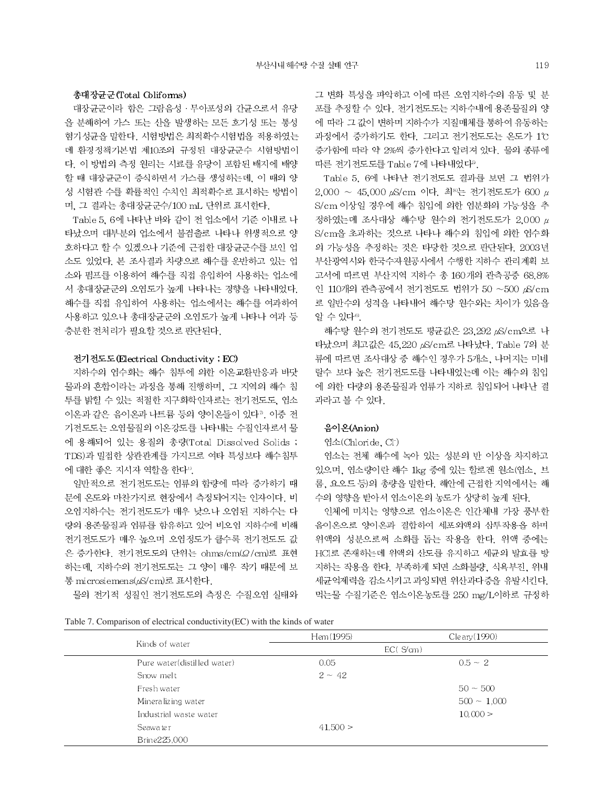#### 총대장균군(Total Coliforms)

대장균군이라 함은 그람음성 · 무아포성의 간균으로서 유당 을 분해하여 가스 또는 산을 발생하는 모든 호기성 또는 통성 혐기성균을 말한다. 시험방법은 최적확수시험법을 적용하였는 데 환경정책기본법 제10조의 규정된 대장균군수 시험방법이 다. 이 방법의 측정 원리는 시료를 유당이 포함된 배지에 배양 할 때 대장균군이 증식하면서 가스를 생성하는데, 이 때의 양 성 시험관 수를 확률적인 수치인 최적확수로 표시하는 방법이 며, 그 결과는 총대장균군수/100 mL 단위로 표시한다.

Table 5, 6에 나타난 바와 같이 전 업소에서 기준 이내로 나 타났으며 대부분의 업소에서 불검출로 나타나 위생적으로 양 호하다고 할 수 있겠으나 기준에 근접한 대장균군수를 보인 업 소도 있었다. 본 조사결과 차량으로 해수를 운반하고 있는 업 소와 펌프를 이용하여 해수를 직접 유입하여 사용하는 업소에 서 총대장균군의 오염도가 높게 나타나는 경향을 나타내었다. 해수를 직접 유입하여 사용하는 업소에서는 해수를 여과하여 사용하고 있으나 총대장균군의 오염도가 높게 나타나 여과 등 충분한 전처리가 필요할 것으로 판단된다.

#### 전기전도도(Electrical Conductivity ; EC)

지하수의 염수화는 해수 침투에 의한 이온교환반응과 바닷 물과의 혼합이라는 과정을 통해 진행하며, 그 지역의 해수 침 투를 밝힐 수 있는 적절한 지구화학인자로는 전기전도도, 염소 이온과 같은 음이온과 나트륨 등의 양이온들이 있다". 이중 전 기전도도는 오염물질의 이온강도를 나타내는 수질인자로서 물 에 용해되어 있는 용질의 총량(Total Dissolved Solids ; TDS)과 밀접한 상관관계를 가지므로 여타 특성보다 해수침투 에 대한 좋은 지시자 역할을 한다".

일반적으로 전기전도도는 염류의 함량에 따라 증가하기 때 문에 온도와 마찬가지로 현장에서 측정되어지는 인자이다. 비 오염지하수는 전기전도도가 매우 낮으나 오염된 지하수는 다 량의 용존물질과 염류를 함유하고 있어 비오염 지하수에 비해 전기전도도가 매우 높으며 오염정도가 클수록 전기전도도 값 은 증가한다. 전기전도도의 단위는 ohms/cm(Q/cm)로 표현 하는데, 지하수의 전기전도도는 그 양이 매우 작기 때문에 보 통 microsiemens(uS/cm)로 표시한다.

물의 전기적 성질인 전기전도도의 측정은 수질오염 실태와

그 변화 특성을 파악하고 이에 따른 오염지하수의 유동 및 분 포를 추정할 수 있다. 전기전도도는 지하수내에 용존물질의 양 에 따라 그 값이 변하며 지하수가 지질매체를 통하여 유동하는 과정에서 증가하기도 한다. 그리고 전기전도도는 온도가 1℃ 증가함에 따라 약 2%씩 증가한다고 알려져 있다. 물의 종류에 따른 전기전도도를 Table 7에 나타내었다<sup>5</sup>.

Table 5, 6에 나타난 전기전도도 결과를 보면 그 법위가  $2.000 \sim 45.000 \mu\text{s/cm}$  이다. 최<sup>83</sup>는 전기전도도가 600  $\mu$ S/cm 이상일 경우에 해수 침입에 의한 염분화의 가능성을 추 정하였는데 조사대상 해수탕 원수의 전기전도도가 2,000  $\mu$ S/cm을 초과하는 것으로 나타나 해수의 침입에 의한 염수화 의 가능성을 추정하는 것은 타당한 것으로 판단된다. 2003년 부산광역시와 한국수자원공사에서 수행한 지하수 관리계획 보 고서에 따르면 부산지역 지하수 총 160개의 관측공중 68.8% 인 110개의 관측공에서 전기전도도 법위가 50 ~500 B/cm 로 일반수의 성격을 나타내어 해수탕 원수와는 차이가 있음을 알 수 있다<sup>®</sup>.

해수탕 원수의 전기전도도 평균값은 23.292 B/cm으로 나 타났으며 최고값은 45,220 uS/cm로 나타났다. Table 7의 분 류에 따르면 조사대상 중 해수인 경우가 5개소, 나머지는 미네 랄수 보다 높은 전기전도도를 나타내었는데 이는 해수의 침입 에 의한 다량의 용존물질과 염류가 지하로 침입되어 나타난 결 과라고 볼 수 있다.

# 음이온(Anion)

#### 염소(Chloride, Cl-)

염소는 전체 해수에 녹아 있는 성분의 반 이상을 차지하고 있으며, 염소량이란 해수 1kg 중에 있는 할로겐 원소(염소, 브 롬, 요오드 등)의 총량을 밀한다. 해안에 근접한 지역에서는 해 수의 영향을 받아서 염소이온의 농도가 상당히 높게 된다.

인체에 미치는 영향으로 염소이온은 인간체내 가장 풍부한 음이온으로 양이온과 결합하여 세포외액의 삼투작용을 하며 위액의 성분으로써 소화를 돕는 작용을 한다. 위액 중에는 HCI로 존재하는데 위액의 산도를 유지하고 세균의 발효를 방 지하는 작용을 한다. 부족하게 되면 소화불량, 식욕부진, 위내 세균억제력을 감소시키고 과잉되면 위산과다증을 유발시킨다. 먹는물 수질기준은 염소이온농도를 250 mg/L이하로 규정하

Table 7. Comparison of electrical conductivity(EC) with the kinds of water

|                             | Hem(1995)   | $C$ le ary $(1990)$ |
|-----------------------------|-------------|---------------------|
| Kinds of water              |             | $EC($ S/cm $)$      |
| Pure water(distilled water) | 0.05        | $0.5 - 2$           |
| Snow melt                   | $2 \sim 42$ |                     |
| Fresh water                 |             | $50 - 500$          |
| Mineralizing water          |             | $500 - 1,000$       |
| Industrial waste water      |             | 10,000 >            |
| Seawa te r                  | 41,500 >    |                     |
| Brine225,000                |             |                     |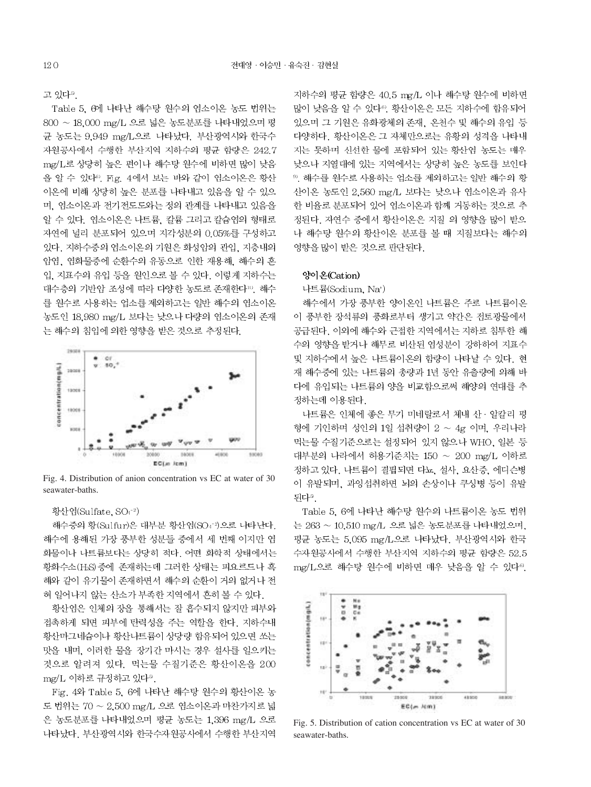고 있다<sup>5</sup>.

Table 5, 6에 나타난 해수탕 원수의 염소이온 농도 범위는 800 ~ 18,000 mg/L 으로 넓은 농도분포를 나타내었으며 평 균 농도는 9.949 mg/L으로 나타났다. 부산광역시와 한국수 자원공사에서 수행한 부산지역 지하수의 평균 함량은 242.7 mg/L로 상당히 높은 편이나 해수탕 원수에 비하면 많이 낮음 을 알 수 있다<sup>0</sup>. Fig. 4에서 보는 바와 같이 염소이온은 황산 이온에 비해 상당히 높은 분포를 나타내고 있음을 알 수 있으 며, 염소이온과 전기전도도와는 정의 관계를 나타내고 있음을 알 수 있다. 엮소이온은 나트륨, 칼륨 그리고 칼슘염의 형태로 자연에 널리 분포되어 있으며 지각성분의 0.05%를 구성하고 있다. 지하수중의 염소이온의 기원은 화성암의 관입. 지층내의 암염, 염화물중에 순환수의 유동으로 인한 재용해, 해수의 혼 입. 지표수의 유입 등을 원인으로 볼 수 있다. 이렇게 지하수는 대수층의 기반암 조성에 따라 다양한 농도로 존재한다". 해수 를 원수로 사용하는 업소를 제외하고는 일반 해수의 염소이온 농도인 18,980 mg/L 보다는 낮으나 다량의 염소이온의 존재 는 해수의 침입에 의한 영향을 받은 것으로 추정된다.



Fig. 4. Distribution of anion concentration vs EC at water of 30 seawater-baths.

#### 황산엮(Sulfate, SO4-2)

해수중의 황(Sulfur)은 대부분 황산염(SO4 3으로 나타난다. 해수에 용해된 가장 풍부한 성분들 중에서 세 번째 이지만 염 화물이나 나트륨보다는 상당히 적다. 어떤 화학적 상태에서는 황화수소(HsS)중에 존재하는데 그러한 상태는 피요르드나 흑 해와 같이 유기물이 존재하면서 해수의 순환이 거의 없거나 전 혀 일어나지 않는 산소가 부족한 지역에서 흔히 볼 수 있다.

황산염은 인체의 장을 통해서는 잘 흡수되지 않지만 피부와 접촉하게 되면 피부에 탄력성을 주는 역할을 한다. 지하수내 황산마그네슘이나 황산나트륨이 상당량 함유되어 있으면 쏘는 맛을 내며, 이러한 물을 장기간 마시는 경우 설사를 일으키는 것으로 알려져 있다. 먹는물 수질기준은 황산이온을 200 mg/L 이하로 규정하고 있다<sup>5</sup>.

Fig. 4와 Table 5, 6에 나타난 해수탕 원수의 황산이온 농 도 번위는 70 ~ 2.500 mg/L 으로 염소이온과 마찬가지로 넓 은 농도분포를 나타내었으며 평균 농도는 1,396 mg/L 으로 나타났다. 부산광역시와 한국수자원공사에서 수행한 부산지역

지하수의 평균 함량은 40.5 mg/L 이나 해수탕 원수에 비하면 많이 낮음을 알 수 있다<sup>6</sup>. 황산이온은 모든 지하수에 함유되어 있으며 그 기원은 유화광체의 존재, 온천수 및 해수의 유입 등 다양하다. 황산이온은 그 자체만으로는 유황의 성격을 나타내 지는 못하며 신선한 물에 포함되어 있는 황산염 농도는 매우 낮으나 지열대에 있는 지역에서는 상당히 높은 농도를 보인다 ™. 해수를 원수로 사용하는 업소를 제외하고는 일반 해수의 황 산이온 농도인 2.560 mg/L 보다는 낮으나 염소이온과 유사 한 비율로 분포되어 있어 염소이온과 함께 거동하는 것으로 추 정된다. 자연수 중에서 황산이온은 지질 의 영향을 많이 받으 나 해수탕 원수의 황산이온 분포를 볼 때 지질보다는 해수의 영향을 많이 받은 것으로 판단된다.

#### 양이온(Cation)

나트륨(Sodium, Na<sup>+)</sup>

해수에서 가장 풍부한 양이온인 나트륨은 주로 나트륨이온 이 풍부한 장석류의 풍화로부터 생기고 약간은 접토광물에서 공급된다. 이외에 해수와 근접한 지역에서는 지하로 침투한 해 수의 영향을 받거나 해무로 비산된 염성분이 강하하여 지표수 및 지하수에서 높은 나트륨이온의 함량이 나타날 수 있다. 현 재 해수중에 있는 나트륨의 총량과 1년 동안 유출량에 의해 바 다에 유입되는 나트륨의 양을 비교함으로써 해양의 연대를 추 정하는데 이용된다.

나트륨은 인체에 좋은 무기 미네랄로서 체내 산 · 알칼리 평 형에 기인하며 성인의 1일 섭취량이 2 ~ 4g 이며, 우리나라 먹는물 수질기준으로는 설정되어 있지 않으나 WHO, 일본 등 대부분의 나라에서 허용기준치는 150 ~ 200 mg/L 이하로 정하고 있다. 나트륨이 결핍되면 다뇨, 설사, 요산증, 에디슨병 이 유발되며, 과잉섭취하면 뇌의 손상이나 쿠싱병 등이 유발 되다®.

Table 5, 6에 나타난 해수탕 원수의 나트륨이온 농도 번위 는 263 ~ 10.510 mg/L 으로 넓은 농도분포를 나타내었으며, 평균 농도는 5.095 mg/L으로 나타났다. 부산광역시와 한국 수자원공사에서 수행한 부산지역 지하수의 평균 함량은 52.5 mg/L으로 해수탕 원수에 비하면 매우 낮음을 알 수 있다<sup>69</sup>.



Fig. 5. Distribution of cation concentration vs EC at water of 30 seawater-baths.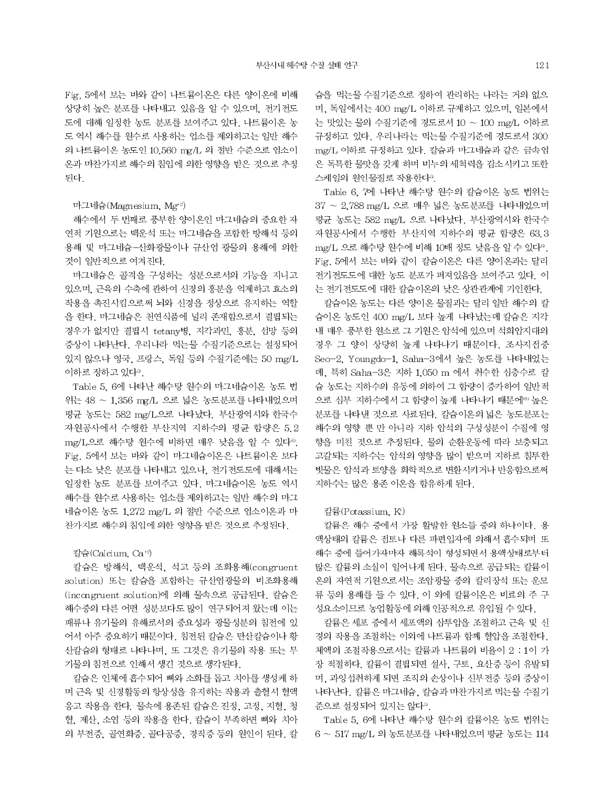Fig. 5에서 보는 바와 같이 나트륨이온은 다른 양이온에 비해 상당히 높은 분포를 나타내고 있음을 알 수 있으며, 전기전도 도에 대해 일정한 농도 분포를 보여주고 있다. 나트륨이온 농 도 역시 해수를 원수로 사용하는 업소를 제외하고는 일반 해수 의 나트륨이온 농도인 10,560 mg/L 의 절반 수준으로 염소이 온과 마찬가지로 해수의 침입에 의한 영향을 받은 것으로 추정 된다.

#### 마그네슘(Magnesium, Mg<sup>+2)</sup>

해수에서 두 번째로 풍부한 양이온인 마그네슘의 중요한 자 연적 기원으로는 백운석 또는 마그네슘을 포함한 방해석 등의 용해 및 마그네슘-산화광물이나 규산염 광물의 용해에 의한 것이 일반적으로 여겨진다.

마그네슘은 골격을 구성하는 성분으로서의 기능을 지니고 있으며, 근육의 수축에 관하여 신경의 흥분을 억제하고 효소의 작용을 촉진시킴으로써 뇌와 신경을 정상으로 유지하는 역할 을 한다. 마그네슘은 천연식품에 널리 존재함으로서 결핍되는 경우가 없지만 결핍시 tetany병, 지각과민, 흥분, 섬망 등의 증상이 나타난다. 우리나라 먹는물 수질기준으로는 설정되어 있지 않으나 영국, 프랑스, 독일 등의 수질기준에는 50 mg/L 이하로 정하고 있다<sup>5</sup>.

Table 5, 6에 나타난 해수탕 원수의 마그네슘이온 농도 법 위는 48 ~ 1.356 mg/L 으로 넓은 농도분포를 나타내었으며 평균 농도는 582 mg/L으로 나타났다. 부산광역시와 한국수 자원공사에서 수행한 부산지역 지하수의 평균 함량은 5.2 mg/L으로 해수탕 원수에 비하면 매우 낮음을 알 수 있다<sup>6)</sup>. Fig. 5에서 보는 바와 같이 마그네슘이온은 나트륨이온 보다 는 다소 낮은 분포를 나타내고 있으나, 전기전도도에 대해서는 일정한 농도 분포를 보여주고 있다. 마그네슘이온 농도 역시 해수를 원수로 사용하는 업소를 제외하고는 일반 해수의 마그 네슘이온 농도 1.272 mg/L 의 절반 수준으로 염소이온과 마 찬가지로 해수의 침입에 의한 영향을 받은 것으로 추정된다.

#### 칼슘(Calcium, Ca<sup>+2</sup>)

칼슘은 방해석, 백운석, 석고 등의 조화용해(congruent solution) 또는 칼슘을 포함하는 규산염광물의 비조화용해 (incongruent solution)에 의해 물속으로 공급된다. 칼슘은 해수중의 다른 어떤 성분보다도 많이 연구되어져 왔는데 이는 패류나 유기물의 유해로서의 중요성과 광물성분의 침전에 있 어서 아주 중요하기 때문이다. 침전된 칼슘은 탄산칼슘이나 황 산칼슘의 형태로 나타나며, 또 그것은 유기물의 작용 또는 무 기물의 침전으로 인해서 생긴 것으로 생각된다.

칼슘은 인체에 흡수되어 뼈와 소화를 돕고 치아를 생성케 하 며 근육 및 신경활동의 항상성을 유지하는 작용과 출혈시 혈액 응고 작용을 한다. 물속에 용존된 칼슘은 진정, 고정, 지혈, 청 혈, 제산, 소염 등의 작용을 한다. 칼슘이 부족하면 뼈와 치아 의 부전증, 골연화증, 골다공증, 경직증 등의 원인이 된다. 칼 숨을 먹는물 수질기준으로 정하여 관리하는 나라는 거의 없으 며, 독일에서는 400 mg/L 이하로 규제하고 있으며, 일본에서 는 맛있는 물의 수질기준에 경도로서 10 ~ 100 mg/L 이하로 규정하고 있다. 우리나라는 먹는물 수질기준에 경도로서 300 mg/L 이하로 규정하고 있다. 칼슘과 마그네슘과 같은 금속염 은 독특한 물맛을 갖게 하며 비누의 세척력을 감소시키고 또한 스케일의 원인물질로 작용한다<sup>5</sup>.

Table 6, 7에 나타난 해수탕 원수의 칼슘이온 농도 법위는 37 ~ 2,788 mg/L 으로 매우 넓은 농도분포를 나타내었으며 평균 농도는 582 mg/L 으로 나타났다. 부산광역시와 한국수 자원공사에서 수행한 부산지역 지하수의 평균 함량은 63.3 mg/L 으로 해수탕 원수에 비해 10배 정도 낮음을 알 수 있다<sup>®</sup>. Fig. 5에서 보는 바와 같이 칼슘이온은 다른 양이온과는 달리 전기전도도에 대한 농도 분포가 퍼져있음을 보여주고 있다. 이 는 전기전도도에 대한 칼슘이온의 낮은 상관관계에 기인한다.

칼슘이온 농도는 다른 양이온 물질과는 달리 일반 해수의 칼 슘이온 농도인 400 mg/L 보다 높게 나타났는데 칼슘은 지각 내 매우 풍부한 원소로 그 기원은 암석에 있으며 석회암지대의 경우 그 양이 상당히 높게 나타나기 때문이다. 조사지점중 Seo-2, Youngdo-1, Saha-3에서 높은 농도를 나타내었는 데, 특히 Saha-3은 지하 1,050 m 에서 취수한 심층수로 칼 슘 농도는 지하수의 유동에 의하여 그 함량이 증가하여 일반적 으로 심부 지하수에서 그 함량이 높게 나타나기 때문에<sup>00</sup> 높은 분포를 나타낸 것으로 사료된다. 칼슘이온의 넓은 농도분포는 해수의 영향 뿐 만 아니라 지하 암석의 구성성분이 수질에 영 향을 미친 것으로 추정된다. 물의 순환운동에 따라 보충되고 고갈되는 지하수는 암석의 영향을 많이 받으며 지하로 침투한 빗물은 암석과 토양을 화학적으로 변환시키거나 반응함으로써 지하수는 많은 용존 이온을 함유하게 된다.

## 칼륨(Potassium, K<sup>+</sup>)

칼륨은 해수 중에서 가장 활발한 원소들 중의 하나이다. 용 액상태의 칼륨은 전토나 다른 파편입자에 의해서 흡수되며 또 해수 중에 들어가자마자 해록석이 형성되면서 용액상태로부터 많은 칼륨의 소실이 일어나게 된다. 물속으로 공급되는 칼륨이 온의 자연적 기원으로서는 조암광물 중의 칼리장석 또는 운모 류 등의 용해를 들 수 있다. 이 외에 칼륨이온은 비료의 주 구 성요소이므로 농업활동에 의해 인공적으로 유입될 수 있다.

칼륨은 세포 중에서 세포액의 삼투압을 조절하고 근육 및 신 경의 작용을 조절하는 이외에 나트륨과 함께 혈압을 조절한다. 체액의 조절작용으로서는 칼륨과 나트륨의 비율이 2:1이 가 장 적절하다. 칼륨이 결핍되면 설사, 구토, 요산증 등이 유발되 며, 과잉섭취하게 되면 조직의 손상이나 신부전증 등의 증상이 나타난다. 칼륨은 마그네슘, 칼슘과 마찬가지로 먹는물 수질기 준으로 설정되어 있지는 않다?

Table 5, 6에 나타난 해수탕 원수의 칼륨이온 농도 법위는  $6 \sim 517$  mg/L 의 농도분포를 나타내었으며 평균 농도는 114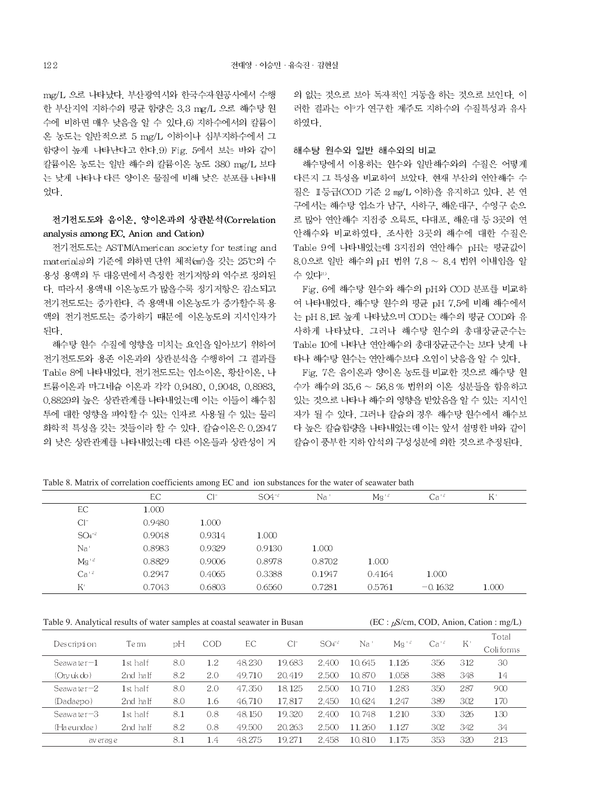mg/L 으로 나타났다. 부산광역시와 한국수자원공사에서 수행 한 부산지역 지하수의 평균 함량은 3.3 mg/L 으로 해수탕 원 수에 비하면 매우 낮음을 알 수 있다. 6) 지하수에서의 칼륨이 온 농도는 일반적으로 5 mg/L 이하이나 심부지하수에서 그 함량이 높게 나타난다고 한다. 9) Fig. 5에서 보는 바와 같이 칼륨이온 농도는 일반 해수의 칼륨이온 농도 380 mg/L 보다 는 낮게 나타나 다른 양이온 물질에 비해 낮은 분포를 나타내 었다

# 전기전도도와 음이온, 양이온과의 상관분석(Correlation analysis among EC, Anion and Cation)

전기전도도는 ASTM(American society for testing and materials)의 기준에 의하면 단위 체적(cm2)을 갖는 25℃의 수 용성 용액의 두 대응면에서 측정한 전기저항의 역수로 정의된 다. 따라서 용액내 이온농도가 많을수록 정기저항은 감소되고 전기전도도는 증가한다. 즉 용액내 이온농도가 증가할수록 용 액의 전기전도도는 증가하기 때문에 이온농도의 지시인자가 되다.

해수탕 원수 수질에 영향을 미치는 요인을 알아보기 위하여 전기전도도와 용존 이온과의 상관분석을 수행하여 그 결과를 Table 8에 나타내었다. 전기전도도는 염소이온, 황산이온, 나 트륨이온과 마그네슘 이온과 각각 0.9480, 0.9048, 0.8983, 0.8829의 높은 상관관계를 나타내었는데 이는 이들이 해수침 투에 대한 영향을 파악할 수 있는 인자로 사용될 수 있는 물리 화학적 특성을 갖는 것들이라 할 수 있다. 칼슘이온은 0.2947 의 낮은 상관관계를 나타내었는데 다른 이온들과 상관성이 거 의 없는 것으로 보아 독자적인 거동을 하는 것으로 보인다. 이 러한 결과는 이 가 연구한 제주도 지하수의 수질특성과 유사 하였다.

### 해수탕 원수와 일반 해수와의 비교

해수탕에서 이용하는 원수와 일반해수와의 수질은 어떻게 다른지 그 특성을 비교하여 보았다. 현재 부산의 연안해수 수 질은 II 등급(COD 기준 2 mg/L 이하)을 유지하고 있다. 본 연 구에서는 해수탕 업소가 남구, 사하구, 해운대구, 수영구 순으 로 많아 연안해수 지점중 오륙도, 다대포, 해운대 등 3곳의 연 안해수와 비교하였다. 조사한 3곳의 해수에 대한 수질은 Table 9에 나타내었는데 3지점의 연안해수 pH는 평균값이 8.0으로 일반 해수의 pH 번위 7.8 ~ 8.4 번위 이내임을 알 수 있다".

Fig. 6에 해수탕 원수와 해수의 pH와 COD 분포를 비교하 여 나타내었다. 해수탕 원수의 평균 pH 7.5에 비해 해수에서 는 pH 8.1로 높게 나타났으며 COD는 해수의 평균 COD와 유 사하게 나타났다. 그러나 해수탕 원수의 총대장균군수는 Table 10에 나타난 연안해수의 총대장균군수는 보다 낮게 나 타나 해수탕 원수는 연안해수보다 오염이 낮음을 알 수 있다.

Fig. 7은 음이온과 양이온 농도를 비교한 것으로 해수탕 원 수가 해수의 35.6 ~ 56.8 % 범위의 이온 성분들을 함유하고 있는 것으로 나타나 해수의 영향을 받았음을 알 수 있는 지시인 자가 될 수 있다. 그러나 칼슘의 경우 해수탕 원수에서 해수보 다 높은 칼슘함량을 나타내었는데 이는 앞서 설명한 바와 같이 칼슘이 풍부한 지하 암석의 구성성분에 의한 것으로 추정된다.

Table 8. Matrix of correlation coefficients among EC and ion substances for the water of seawater bath

|              | EC.    | $Cl^-$ | $SO4^{-2}$ | Na '   | $Mg^{-2}$ | $Ca^{12}$ | $K^+$ |  |
|--------------|--------|--------|------------|--------|-----------|-----------|-------|--|
| EC.          | 1.000  |        |            |        |           |           |       |  |
| $Cl^-$       | 0.9480 | 1.000  |            |        |           |           |       |  |
| $SO4^{-2}$   | 0.9048 | 0.9314 | 1.000      |        |           |           |       |  |
| Na'          | 0.8983 | 0.9329 | 0.9130     | 1.000  |           |           |       |  |
| $Mg^{+2}$    | 0.8829 | 0.9006 | 0.8978     | 0.8702 | 1.000     |           |       |  |
| $Ca+2$       | 0.2947 | 0.4065 | 0.3388     | 0.1947 | 0.4164    | 1.000     |       |  |
| $K^{\prime}$ | 0.7043 | 0.6803 | 0.6560     | 0.7281 | 0.5761    | $-0.1632$ | 1.000 |  |
|              |        |        |            |        |           |           |       |  |

Table 9. Analytical results of water samples at coastal seawater in Busan

 $(EC: \mu S/cm, COD, Anion, Cation: mg/L)$ 

|           |               | Te rm    |     | COD | EС      | $Cl^-$  | $SO4^{2}$ | Na     | $Mg^{-2}$ | $Ca+2$ | $_{\rm K}$ | Total     |
|-----------|---------------|----------|-----|-----|---------|---------|-----------|--------|-----------|--------|------------|-----------|
|           | Description   |          | рH  |     |         |         |           |        |           |        |            | Coliforms |
|           | Seawater $-1$ | 1st half | 8.0 | 1.2 | 48.230  | 19.683  | 2.400     | 10.645 | 1.126     | 356    | 312        | 30        |
|           | (Orvuk do)    | 2nd half | 8.2 | 2.0 | 49.710  | 20, 419 | 2,500     | 10,870 | 1.058     | 388    | 348        | 14        |
|           | Seawater $-2$ | 1st half | 8.0 | 2.0 | 47,350  | 18.125  | 2.500     | 10.710 | 1.283     | 350    | 287        | 900       |
|           | (Dadaepo)     | 2nd half | 8.0 | 1.6 | 46,710  | 17.817  | 2.450     | 10.624 | 1.247     | 389    | 302        | 170       |
|           | Seawater $-3$ | 1st half | 8.1 | 0.8 | 48, 150 | 19.320  | 2.400     | 10.748 | 1.210     | 330    | 326        | 130       |
|           | (Ha eundae )  | 2nd half | 8.2 | 0.8 | 49,500  | 20,263  | 2.500     | 11.260 | 1.127     | 302    | 342        | 34        |
| av erag e |               |          | 8.1 | 1.4 | 48,275  | 19.271  | 2.458     | 10.810 | 1.175     | 353    | 320        | 213       |
|           |               |          |     |     |         |         |           |        |           |        |            |           |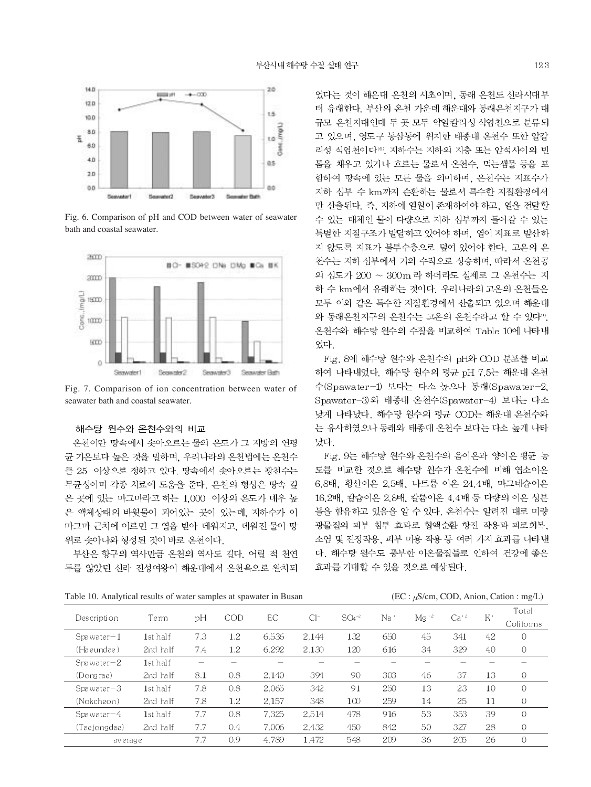

Fig. 6. Comparison of pH and COD between water of seawater bath and coastal seawater.



Fig. 7. Comparison of ion concentration between water of seawater bath and coastal seawater.

# 해수탕 원수와 온천수와의 비교

온천이란 땅속에서 솟아오르는 물의 온도가 그 지방의 연평 균 기온보다 높은 것을 밀하며, 우리나라의 온천법에는 온천수 를 25 이상으로 정하고 있다. 땅속에서 솟아오르는 광천수는 무균성이며 각종 치료에 도움을 준다. 온천의 형성은 땅속 깊 은 곳에 있는 마그마라고 하는 1,000 이상의 온도가 매우 높 은 액체상태의 바윗물이 괴어있는 곳이 있는데, 지하수가 이 마그마 근처에 이르면 그 열을 받아 데워지고, 데워진 물이 땅 위로 솟아나와 형성된 것이 바로 온천이다.

부산은 항구의 역사만큼 온천의 역사도 길다. 어릴 적 천연 두를 앓았던 신라 진성여왕이 해운대에서 온천욕으로 완치되 었다는 것이 해운대 온천의 시초이며, 동래 온천도 신라시대부 터 유래한다. 부산의 온천 가운데 해운대와 동래온천지구가 대 규모 온천지대인데 두 곳 모두 약알칼리성 식염천으로 분류되 고 있으며, 영도구 동삼동에 위치한 태종대 온천수 또한 알칼 리성 식염천이다<sup>10</sup>. 지하수는 지하의 지층 또는 암석사이의 빈 틈을 채우고 있거나 흐르는 물로서 온천수, 먹는샘물 등을 포 함하여 땅속에 있는 모든 물을 의미하며, 온천수는 지표수가 지하 심부 수 km까지 순환하는 물로서 특수한 지질환경에서 만 산출된다. 즉, 지하에 열원이 존재하여야 하고, 열을 전달할 수 있는 매체인 물이 다량으로 지하 심부까지 들어갈 수 있는 특별한 지질구조가 발달하고 있어야 하며, 열이 지표로 발산하 지 않도록 지표가 불투수층으로 덮여 있어야 한다. 고온의 온 천수는 지하 심부에서 거의 수직으로 상승하며, 따라서 온천공 의 심도가 200 ~ 300m 라 하더라도 실제로 그 온천수는 지 하 수 km에서 유래하는 것이다. 우리나라의 고온의 온천들은 모두 이와 같은 특수한 지질환경에서 산출되고 있으며 해운대 와 동래온천지구의 온천수는 고온의 온천수라고 할 수 있다<sup>99</sup>. 온천수와 해수탕 원수의 수질을 비교하여 Table 10에 나타내 었다.

Fig. 8에 해수탕 원수와 온천수의 pH와 COD 분포를 비교 하여 나타내었다. 해수탕 원수의 평균 pH 7.5는 해운대 온천 수(Spawater-1) 보다는 다소 높으나 동래(Spawater-2, Spawater-3)와 태종대 온천수(Spawater-4) 보다는 다소 낮게 나타났다. 해수탕 원수의 평균 COD는 해운대 온천수와 는 유사하였으나 동래와 태종대 온천수 보다는 다소 높게 나타 났다.

Fig. 9는 해수탕 원수와 온천수의 음이온과 양이온 평균 농 도를 비교한 것으로 해수탕 원수가 온천수에 비해 염소이온 6.8배, 황산이온 2.5배, 나트륨 이온 24.4배, 마그네슘이온 16.2배, 칼슘이온 2.8배, 칼륨이온 4.4배 등 다량의 이온 성분 들을 함유하고 있음을 알 수 있다. 온천수는 알려진 대로 미량 광물질의 피부 침투 효과로 혈액순환 항진 작용과 피로회복, 소염 및 진정작용, 피부 미용 작용 등 여러 가지 효과를 나타낸 다. 해수탕 원수도 풍부한 이온물질들로 인하여 건강에 좋은 효과를 기대할 수 있을 것으로 예상된다.

Table 10. Analytical results of water samples at spawater in Busan (EC :  $\mu$ S/cm, COD, Anion, Cation : mg/L)

|                   | Te rm    |     |     |       | $Cl^-$ | $SO4^{-2}$ |     | $Mg^{-2}$ | $Ca+2$ | $_{\rm K}$ | Total     |
|-------------------|----------|-----|-----|-------|--------|------------|-----|-----------|--------|------------|-----------|
| Description       |          | рH  | COD | EC    |        |            | Na  |           |        |            | Coliforms |
| $S$ pa water $-1$ | 1st half | 7.3 | 1.2 | 6.536 | 2.144  | 132        | 650 | 45        | 341    | 42         |           |
| (Ha eundae )      | 2nd half | 7.4 | 1.2 | 6.292 | 2.130  | 120        | 616 | 34        | 329    | 40         | 0         |
| $S$ pa water $-2$ | 1st half |     |     |       |        |            |     |           |        |            |           |
| (Dongrae)         | 2nd half | 8.1 | 0.8 | 2.140 | 394    | 90         | 303 | 46        | 37     | 13         | 0         |
| $S$ pa water $-3$ | 1st half | 7.8 | 0.8 | 2.065 | 342    | 91         | 250 | 13        | 23     | 10         |           |
| (Nokcheon)        | 2nd half | 7.8 | 1.2 | 2.157 | 348    | 100        | 259 | 14        | 25     | 11         | 0         |
| $S$ pa water $-4$ | 1st half | 7.7 | 0.8 | 7.325 | 2.514  | 478        | 916 | 53        | 353    | 39         | $\bigcap$ |
| (Tae jongdae)     | 2nd half | 7.7 | 0.4 | 7.006 | 2,432  | 450        | 842 | 50        | 327    | 28         | Ω         |
| av erage          |          | 7.7 | 0.9 | 4.789 | 1.472  | 548        | 209 | 36        | 205    | 26         | $\bigcap$ |